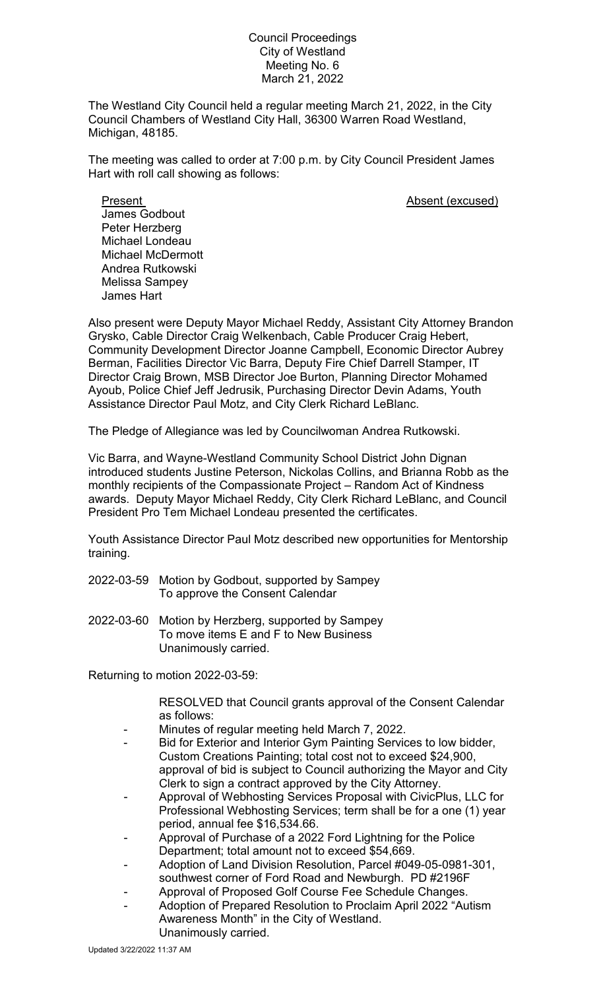## Council Proceedings City of Westland Meeting No. 6 March 21, 2022

The Westland City Council held a regular meeting March 21, 2022, in the City Council Chambers of Westland City Hall, 36300 Warren Road Westland, Michigan, 48185.

The meeting was called to order at 7:00 p.m. by City Council President James Hart with roll call showing as follows:

Present **Absent** (excused) James Godbout Peter Herzberg Michael Londeau Michael McDermott Andrea Rutkowski Melissa Sampey James Hart

Also present were Deputy Mayor Michael Reddy, Assistant City Attorney Brandon Grysko, Cable Director Craig Welkenbach, Cable Producer Craig Hebert, Community Development Director Joanne Campbell, Economic Director Aubrey Berman, Facilities Director Vic Barra, Deputy Fire Chief Darrell Stamper, IT Director Craig Brown, MSB Director Joe Burton, Planning Director Mohamed Ayoub, Police Chief Jeff Jedrusik, Purchasing Director Devin Adams, Youth Assistance Director Paul Motz, and City Clerk Richard LeBlanc.

The Pledge of Allegiance was led by Councilwoman Andrea Rutkowski.

Vic Barra, and Wayne-Westland Community School District John Dignan introduced students Justine Peterson, Nickolas Collins, and Brianna Robb as the monthly recipients of the Compassionate Project – Random Act of Kindness awards. Deputy Mayor Michael Reddy, City Clerk Richard LeBlanc, and Council President Pro Tem Michael Londeau presented the certificates.

Youth Assistance Director Paul Motz described new opportunities for Mentorship training.

- 2022-03-59 Motion by Godbout, supported by Sampey To approve the Consent Calendar
- 2022-03-60 Motion by Herzberg, supported by Sampey To move items E and F to New Business Unanimously carried.

Returning to motion 2022-03-59:

RESOLVED that Council grants approval of the Consent Calendar as follows:

- Minutes of regular meeting held March 7, 2022.
- Bid for Exterior and Interior Gym Painting Services to low bidder, Custom Creations Painting; total cost not to exceed \$24,900, approval of bid is subject to Council authorizing the Mayor and City Clerk to sign a contract approved by the City Attorney.
- Approval of Webhosting Services Proposal with CivicPlus, LLC for Professional Webhosting Services; term shall be for a one (1) year period, annual fee \$16,534.66.
- Approval of Purchase of a 2022 Ford Lightning for the Police Department; total amount not to exceed \$54,669.
- Adoption of Land Division Resolution, Parcel #049-05-0981-301, southwest corner of Ford Road and Newburgh. PD #2196F
- Approval of Proposed Golf Course Fee Schedule Changes.
- Adoption of Prepared Resolution to Proclaim April 2022 "Autism Awareness Month" in the City of Westland. Unanimously carried.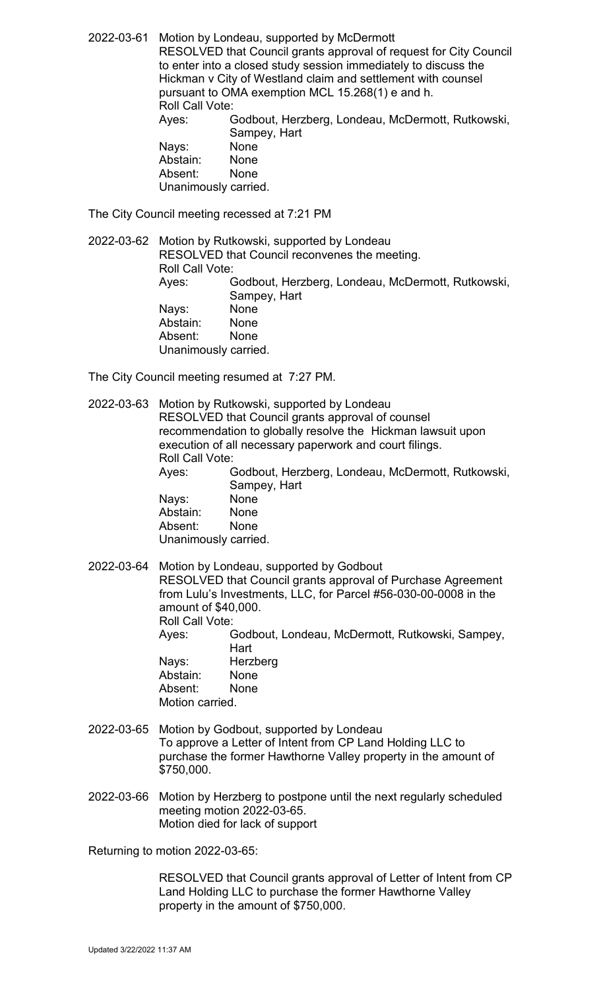2022-03-61 Motion by Londeau, supported by McDermott RESOLVED that Council grants approval of request for City Council to enter into a closed study session immediately to discuss the Hickman v City of Westland claim and settlement with counsel pursuant to OMA exemption MCL 15.268(1) e and h. Roll Call Vote: Ayes: Godbout, Herzberg, Londeau, McDermott, Rutkowski, Sampey, Hart<br>None Nays: None<br>Abstain: None Abstain: Absent: None

Unanimously carried.

The City Council meeting recessed at 7:21 PM

2022-03-62 Motion by Rutkowski, supported by Londeau RESOLVED that Council reconvenes the meeting. Roll Call Vote: Ayes: Godbout, Herzberg, Londeau, McDermott, Rutkowski, Sampey, Hart Nays: None Abstain: None Absent: None Unanimously carried.

The City Council meeting resumed at 7:27 PM.

2022-03-63 Motion by Rutkowski, supported by Londeau RESOLVED that Council grants approval of counsel recommendation to globally resolve the Hickman lawsuit upon execution of all necessary paperwork and court filings. Roll Call Vote: Ayes: Godbout, Herzberg, Londeau, McDermott, Rutkowski, Sampey, Hart Nays: None Abstain: None<br>Absent: None Absent: Unanimously carried. 2022-03-64 Motion by Londeau, supported by Godbout

RESOLVED that Council grants approval of Purchase Agreement from Lulu's Investments, LLC, for Parcel #56-030-00-0008 in the amount of \$40,000. Roll Call Vote:

Ayes: Godbout, Londeau, McDermott, Rutkowski, Sampey, **Hart** Nays: Herzberg<br>Abstain: None Abstain: Absent: None

Motion carried.

2022-03-65 Motion by Godbout, supported by Londeau To approve a Letter of Intent from CP Land Holding LLC to purchase the former Hawthorne Valley property in the amount of \$750,000.

2022-03-66 Motion by Herzberg to postpone until the next regularly scheduled meeting motion 2022-03-65. Motion died for lack of support

Returning to motion 2022-03-65:

RESOLVED that Council grants approval of Letter of Intent from CP Land Holding LLC to purchase the former Hawthorne Valley property in the amount of \$750,000.